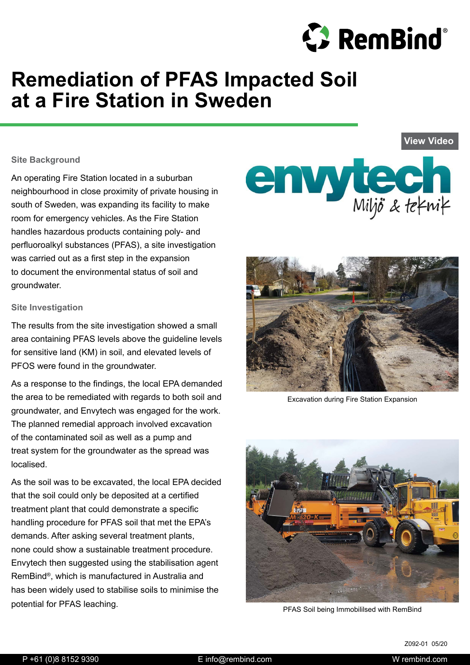

**[View Video](https://www.youtube.com/watch?time_continue=3&v=v5rb-Z2m_bw&feature=emb_logo)**

# **Remediation of PFAS Impacted Soil at a Fire Station in Sweden**

#### **Site Background**

An operating Fire Station located in a suburban neighbourhood in close proximity of private housing in south of Sweden, was expanding its facility to make room for emergency vehicles. As the Fire Station handles hazardous products containing poly- and perfluoroalkyl substances (PFAS), a site investigation was carried out as a first step in the expansion to document the environmental status of soil and groundwater.

#### **Site Investigation**

The results from the site investigation showed a small area containing PFAS levels above the guideline levels for sensitive land (KM) in soil, and elevated levels of PFOS were found in the groundwater.

As a response to the findings, the local EPA demanded the area to be remediated with regards to both soil and groundwater, and Envytech was engaged for the work. The planned remedial approach involved excavation of the contaminated soil as well as a pump and treat system for the groundwater as the spread was localised.

As the soil was to be excavated, the local EPA decided that the soil could only be deposited at a certified treatment plant that could demonstrate a specific handling procedure for PFAS soil that met the EPA's demands. After asking several treatment plants, none could show a sustainable treatment procedure. Envytech then suggested using the stabilisation agent RemBind®, which is manufactured in Australia and has been widely used to stabilise soils to minimise the potential for PFAS leaching.





Excavation during Fire Station Expansion



PFAS Soil being Immobililsed with RemBind

Z092-01 05/20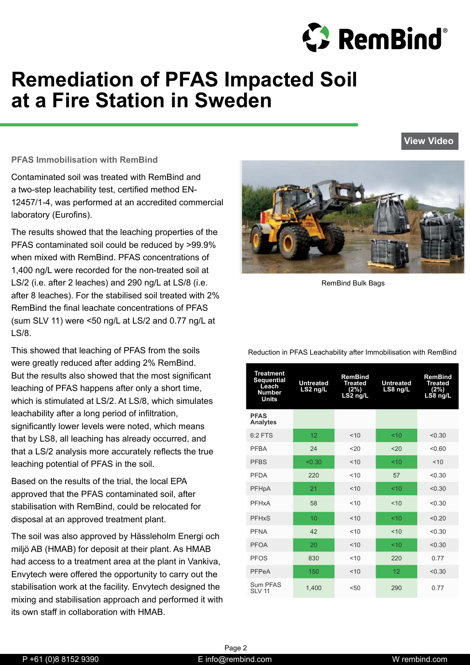

**[View Video](https://www.youtube.com/watch?time_continue=3&v=v5rb-Z2m_bw&feature=emb_logo)**

# **Remediation of PFAS Impacted Soil at a Fire Station in Sweden**

#### **PFAS Immobilisation with RemBind**

Contaminated soil was treated with RemBind and a two-step leachability test, certified method EN-12457/1-4, was performed at an accredited commercial laboratory (Eurofins).

The results showed that the leaching properties of the PFAS contaminated soil could be reduced by >99.9% when mixed with RemBind. PFAS concentrations of 1,400 ng/L were recorded for the non-treated soil at LS/2 (i.e. after 2 leaches) and 290 ng/L at LS/8 (i.e. after 8 leaches). For the stabilised soil treated with 2% RemBind the final leachate concentrations of PFAS (sum SLV 11) were <50 ng/L at LS/2 and 0.77 ng/L at LS/8.

This showed that leaching of PFAS from the soils were greatly reduced after adding 2% RemBind. But the results also showed that the most significant leaching of PFAS happens after only a short time, which is stimulated at LS/2. At LS/8, which simulates leachability after a long period of infiltration, significantly lower levels were noted, which means that by LS8, all leaching has already occurred, and that a LS/2 analysis more accurately reflects the true leaching potential of PFAS in the soil.

Based on the results of the trial, the local EPA approved that the PFAS contaminated soil, after stabilisation with RemBind, could be relocated for disposal at an approved treatment plant.

The soil was also approved by Hässleholm Energi och miljö AB (HMAB) for deposit at their plant. As HMAB had access to a treatment area at the plant in Vankiva, Envytech were offered the opportunity to carry out the stabilisation work at the facility. Envytech designed the mixing and stabilisation approach and performed it with its own staff in collaboration with HMAB.



RemBind Bulk Bags

| <b>Treatment</b><br><b>Sequential</b><br>Leach<br><b>Number</b><br><b>Units</b> | <b>Untreated</b><br>LS2 ng/L | <b>RemBind</b><br><b>Treated</b><br>(2%)<br>LS2 ng/L | <b>Untreated</b><br>LS8 ng/L | <b>RemBind</b><br><b>Treated</b><br>(2%)<br>LS8 ng/L |
|---------------------------------------------------------------------------------|------------------------------|------------------------------------------------------|------------------------------|------------------------------------------------------|
| <b>PFAS</b><br><b>Analytes</b>                                                  |                              |                                                      |                              |                                                      |
| $6:2$ FTS                                                                       | 12                           | < 10                                                 | < 10                         | < 0.30                                               |
| PFRA                                                                            | 24                           | 20                                                   | 20                           | < 0.60                                               |
| <b>PFBS</b>                                                                     | < 0.30                       | < 10                                                 | < 10                         | < 10                                                 |
| <b>PFDA</b>                                                                     | 220                          | 10                                                   | 57                           | < 0.30                                               |
| PFHpA                                                                           | 21                           | < 10                                                 | 10                           | < 0.30                                               |
| PFHxA                                                                           | 58                           | < 10                                                 | < 10                         | < 0.30                                               |
| <b>PFHxS</b>                                                                    | 10                           | < 10                                                 | 10<                          | < 0.20                                               |
| <b>PFNA</b>                                                                     | 42                           | < 10                                                 | < 10                         | < 0.30                                               |
| <b>PFOA</b>                                                                     | 20                           | < 10                                                 | 10                           | < 0.30                                               |
| <b>PFOS</b>                                                                     | 830                          | 10                                                   | 220                          | 0.77                                                 |
| PFPeA                                                                           | 150                          | < 10                                                 | 12                           | < 0.30                                               |
| <b>Sum PFAS</b><br><b>SLV 11</b>                                                | 1,400                        | < 50                                                 | 290                          | 0.77                                                 |

Reduction in PFAS Leachability after Immobilisation with RemBind